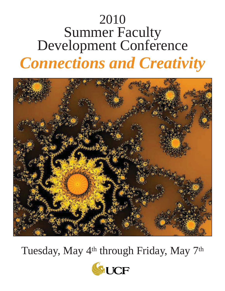# 2010 Summer Faculty Development Conference *Connections and Creativity*



Tuesday, May 4<sup>th</sup> through Friday, May 7<sup>th</sup>

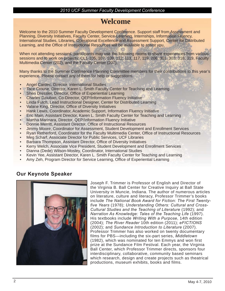# *2010 UCF Summer Faculty Development Conference*

# **Welcome**

Welcome to the 2010 Summer Faculty Development Conference. Support staff from Assessment and Planning, Diversity Initiatives, Faculty Center, Service-Learning, Internships, Information Fluency, International Studies, Libraries, Operational Excellence and Assessment Support, Center for Distributed Learning, and the Office of Instructional Resources will be available to assist you.

When not attending sessions, participants may use the following rooms to share experiences from various sessions and to work on projects: CL1-105, 107, 109, 112, 113, 117, 119, 206, 301, 303, 318, 319, Faculty Multimedia Center (202), and the Faculty Center (207).

Many thanks to the Summer Conference Planning Committee members for their contributions to this year's experience. Please contact any of them for help or suggestions.

- Angel Cardec, Director, International Studies
- Tace Crouse, Director, Karen L. Smith Faculty Center for Teaching and Learning
- Sheri Dressler, Director, Office of Experiential Learning
- Charles Dziuban, Co-Director, QEP/Information Fluency Initiative
- Linda Futch, Lead Instructional Designer, Center for Distributed Learning
- Valarie King, Director, Office of Diversity Initiatives
- Hank Lewis, Coordinator, Academic Support, Information Fluency Initiative
- Eric Main, Assistant Director, Karen L. Smith Faculty Center for Teaching and Learning
- Martha Marinara, Director, QEP/Information Fluency Initiative
- Donnie Merritt, Assistant Director, Office of Instructional Resources
- Jimmy Moore, Coordinator for Assessment, Student Development and Enrollment Services
- Ryan Retherford, Coordinator for the Faculty Multimedia Center, Office of Instructional Resources
- Meg Scharf, Associate Director for Public Services, UCF Libraries
- **Barbara Thompson, Assistant Director, Office of Diversity Initiatives**
- Kerry Welch, Associate Vice President, Student Development and Enrollment Services
- Dianna (Dede) Wilson-Mosley, Coordinator, International Studies
- Kevin Yee, Assistant Director, Karen L. Smith Faculty Center for Teaching and Learning
- Amy Zeh, Program Director for Service Learning, Office of Experiential Learning

# **Our Keynote Speaker**



Joseph F. Trimmer is Professor of English and Director of the Virginia B. Ball Center for Creative Inquiry at Ball State University in Muncie, Indiana. The author of numerous articles on literature, culture and literacy, Professor Trimmer's books include *The National Book Award for Fiction: The First Twentyfive Years* (1978); *Understanding Others: Cultural and Cross-Cultural Studies and the Teaching of Literature* (1992); and *Narration As Knowledge: Tales of the Teaching Life* (1997). His textbooks include *Writing With a Purpose*, 14th edition (2004); *The River Reader* 10th edition (2011); *eFICTIONS* (2002); and *Sundance Introduction to Literature* (2007). Professor Trimmer has also worked on twenty documentary films for PBS—including the six-part series, *Middletown* (1982), which was nominated for ten Emmys and won first prize at the Sundance Film Festival. Each year, the Virginia Ball Center, which Professor Trimmer directs, sponsors four interdisciplinary, collaborative, community based seminars which research, design and create projects such as theatrical productions, museum exhibits, books and films.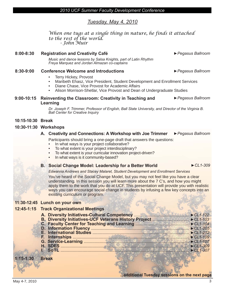# *Tuesday, May 4, 2010*

*When one tugs at a single thing in nature, he finds it attached to the rest of the world. - John Muir*

#### **8:00-8:30 Registration and Creativity Café ►***Pegasus Ballroom Music and dance lessons by Salsa Knights, part of Latin Rhythm Freya Marquez and Jordan Almazan co-captains*

# **8:30-9:00 Conference Welcome and Introductions ►***Pegasus Ballroom*

- Terry Hickey, Provost
- Maribeth Ehasz, Vice President, Student Development and Enrollment Services
- Diane Chase, Vice Provost for Academic Affairs
- Alison Morrison-Shetlar, Vice Provost and Dean of Undergraduate Studies

#### **9:00-10:15 Reinventing the Classroom: Creativity in Teaching and Learning ►***Pegasus Ballroom*

*Dr. Joseph F. Trimmer, Professor of English, Ball State University, and Director of the Virginia B. Ball Center for Creative Inquiry*

## **10:15-10:30 Break**

## **10:30-11:30 Workshops**

## **A. Creativity and Connections: A Workshop with Joe Trimmer ►***Pegasus Ballroom*

Participants should bring a one-page draft that answers the questions:

- In what ways is your project collaborative?
- To what extent is your project interdisciplinary?
- To what extent is your curricular innovation project-driven?
- In what ways is it community-based?

# **B.** Social Change Model: Leadership for a Better World ▶ CL1-309

## *Edwanna Andrews and Stacey Malaret, Student Development and Enrollment Services*

You've heard of the Social Change Model, but you may not feel like you have a clear understanding. In this session you will learn more about the 7 C's, and how you might apply them to the work that you do at UCF. This presentation will provide you with realistic ways you can encourage social change in students by infusing a few key concepts into an existing curriculum or program.

## **11:30-12:45 Lunch on your own**

# **12:45-1:15 Track Organizational Meetings**

**1:15-1:30 Break**

**...additional Tuesday sessions on the next page**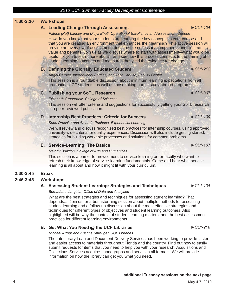# **1:30-2:30 Workshops**

# **A. Leading Change Through Assessment ►***CL1-104*

*Patrice (Pat) Lancey and Divya Bhati, Operational Excellence and Assessment Support*

How do you know that your students are learning the key concepts in your course and that you are creating an environment that enhances their learning? This active session will provide an overview of assessment, describe the necessary components and illustrate its value and benefits. Join us as we discuss where to start with assessment—what would be useful for you to learn more about—and see how this process connects to the framing of student learning outcomes and measures that yield the evidence for change.

# **B. Defining the Globally Educated Student <b>Educated Student Educated Student Educated Student Educated Student Educated Student Educated Student Educated Student Educated Student Educated Student Educate**

*Angel Cardec, International Studies, and Tace Crouse, Faculty Center* This session is a roundtable discussion about minimum learning expectations from all graduating UCF students, as well as those taking part in study abroad programs.

# **C. Publishing your SoTL Research ►***CL1-307*

#### *Elizabeth Grauerholz, College of Sciences*

This session will offer criteria and suggestions for successfully getting your SoTL research in a peer-reviewed publication.

# **D. Internship Best Practices: Criteria for Success ►***CL1-109*

#### *Sheri Dressler and Amanda Pacheco, Experiential Learning*

We will review and discuss recognized best practices for internship courses, using approved university-wide criteria for quality experiences. Discussion will also include getting started, strategies for building workable processes and solutions for common problems.

# **E. Service-Learning: The Basics ►***CL1-107*

## *Melody Bowdon, College of Arts and Humanities*

This session is a primer for newcomers to service-learning or for faculty who want to refresh their knowledge of service-learning fundamentals. Come and hear what servicelearning is all about and how it might fit with your curriculum.

# **2:30-2:45 Break**

# **2:45-3:45 Workshops**

# **A. Assessing Student Learning: Strategies and Techniques ►***CL1-104*

## **Bernadette Jungblut, Office of Data and Analyses**

What are the best strategies and techniques for assessing student learning? That depends.... Join us for a brainstorming session about multiple methods for assessing student learning and a follow-up discussion about the most effective strategies and techniques for different types of objectives and student learning outcomes. Also highlighted will be why the context of student learning matters, and the best assessment practices for different learning environments.

# **B.** Get What You Need @ the UCF Libraries ▶ CL1-218

*Michael Arthur and Kristine Shrauger, UCF Libraries*

The Interlibrary Loan and Document Delivery Services has been working to provide faster and easier access to materials throughout Florida and the country. Find out how to easily submit requests for items that you need to help you with your research. Acquisitions and Collections Services acquires monographs and serials in all formats. We will provide information on how the library can get you what you need.

# **...additional Tuesday sessions on the next page**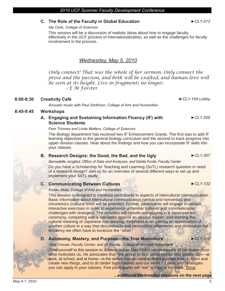# **C. The Role of the Faculty in Global Education ►***CL1-212*

*Ida Cook, College of Sciences*

This session will be a discussion of realistic ideas about how to engage faculty effectively in the UCF process of internationalization, as well as the challenges for faculty involvement in the process.

# *Wednesday, May 5, 2010*

*Only connect! That was the whole of her sermon. Only connect the prose and the passion, and both will be exalted, and human love will be seen at its height. Live in fragments no longer. - E M Forster*

# **8:00-8:30 Creativity Café ►***CL1-104 Lobby*

*Acoustic music with Paul Smithson, College of Arts and Humanities*

# **8:45-9:45 Workshops**

# **A. Engaging and Sustaining Information Fluency (IF) with Science Students**

*Pam Thomas and Linda Walters, College of Sciences*

The Biology department has received two IF Enhancement Grants. The first was to add IF learning objectives to the general biology curriculum and the second to track progress into upper division classes. Hear about the findings and how you can incorporate IF skills into your classes.

# **B.** Research Designs: the Good, the Bad, and the Ugly ▶ CL1-307

Bernadette Jungblut, Office of Data and Analyses, and Dahlia Forde, Faculty Center

Do you have a Scholarship for Teaching and Learning (SoTL) research question in need of a research design? Join us for an overview of several different ways to set up and implement your SoTL study.

# **C. Communicating Between Cultures ►***CL1-122*

## *Kimiko Akita, College of Arts and Humanities*

This session is designed to introduce participants to aspects of intercultural communication. Basic information about intercultural communication (verbal and nonverbal) and chronemics (cultural time) will be provided. Further, participants will engage in various interactive exercises in order to experience unfamiliar cultures and communication challenges with strangers. The activities will include role-playing in a Japanese tea ceremony, competing with a calculator against an abacus master, and learning the cultural meaning of Japanese line-dancing. Emphasis is on gaining an appreciation of another culture in a way that deconstructs and demystifies differences and diminishes the tendency we often have to exoticize the "other."

# **D. Autonomy, Mastery, and Purpose—the True Motivators**  $\epsilon$  **<b>EL1-308**

*Tace Crouse, Faculty Center, and Ali Korosy, College of Arts and Humanities*

*Drive* yourself to this session to discuss author Dan Pink's interpretations of the research on what motivates us. He advocates that "the secret to high performance and satisfaction-at work, at school, and at home—is the deeply human need to direct our own lives, to learn and create new things, and to do better by ourselves and our world." Leave with strategies you can apply in your classes. Five participants will "win" a copy of the book, Drive.

**...additional Wednesday sessions on the next page**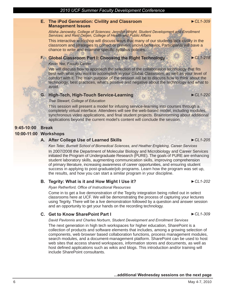### **E. The iPod Generation: Civility and Classroom Management Issues**

*Alisha Janowsky, College of Sciences; Jennifer Wright, Student Development and Enrollment Services; and Reid Oetjen, College of Health and Public Affairs*

This interactive workshop will discuss ways that many of our students lack civility in the classroom and strategies to correct or prevent uncivil behavior. Participants will have a chance to write and examine specific syllabus policies.

# **F. Global Classroom Part I: Choosing the Right Technology** *►CL1-218*

#### *Kevin Yee, Faculty Center*

We will discuss how to approach the selection of the collaboration technology that fits best with what you want to accomplish in your Global Classroom, as well as your level of comfort with it. The main purpose of the session will be to discuss how to think about the technology, best practices, what's positive and negative about the technology and what to avoid.

# **G. High-Tech, High-Touch Service-Learning** *►CL1-220*

#### *Trae Stewart, College of Education*

This session will present a model for infusing service-learning into courses through a completely virtual interface. Attendees will see the web-based model, including modules, synchronous video applications, and final student projects. Brainstorming about additional applications beyond the current model's content will conclude the session.

# **9:45-10:00 Break**

## **10:00-11:00 Workshops**

# **A. After College Use of Learned Skills** *►CL1-205*

*Ken Teter, Burnett School of Biomedical Sciences, and Heather Engleking, Career Services*

In 2007/2008 the Department of Molecular Biology and Microbiology and Career Services initiated the Program of Undergraduate Research (PURE). The goals of PURE are enhancing student laboratory skills, augmenting communication skills, improving comprehension of primary literature, increasing awareness of career opportunities, and ensuring student success in applying to post-graduate/job programs. Learn how the program was set up, the results, and how you can start a similar program in your discipline.

# **B. Tegrity: What is it and How Might I Use it?** *►CL1-202*

**Ryan Retherford, Office of Instructional Resources** 

Come in to get a live demonstration of the Tegrity integration being rolled out in select classrooms here at UCF. We will be demonstrating the process of capturing your lectures using Tegrity. There will be a live demonstration followed by a question and answer session and an opportunity to get your hands on the recording technology.

# **C. Get to Know SharePoint Part I** *►CL1-309*

#### *David Pavlonnis and Charles Norburn, Student Development and Enrollment Services*

The next generation in high tech workspaces for higher education, SharePoint is a collection of products and software elements that includes, among a growing selection of components, web browser based collaboration functions, process management modules, search modules, and a document-management platform. SharePoint can be used to host web sites that access shared workspaces, information stores and documents, as well as host defined applications such as wikis and blogs. This introduction and/or training will include SharePoint consultants.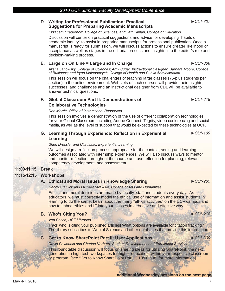#### **D. Writing for Professional Publication: Practical Suggestions for Preparing Academic Manuscripts**

#### *Elizabeth Grauerholz, College of Sciences, and Jeff Kaplan, College of Education*

Discussion will center on practical suggestions and advice for developing "habits of academic inquiry" to assist in preparing manuscripts for professional publication. Once a manuscript is ready for submission, we will discuss actions to ensure greater likelihood of acceptance as well as stages in the editorial process and insights into the editor's role and decision-making process.

# **E. Large on On Line = Large and In Charge ►***CL1-308*

*Alisha Janowsky, College of Sciences; Amy Sugar, Instructional Designer; Barbara Moore, College of Business; and Iryna Malendevych, College of Health and Public Administration*

This session will focus on the challenges of teaching large classes (75-plus students per section) in the online environment. Web vets of such courses will provide their insights, successes, and challenges and an instructional designer from CDL will be available to answer technical questions.

# **F. Global Classroom Part II: Demonstrations of Collaborative Technologies**

## **Don Merritt, Office of Instructional Resources**

This session involves a demonstration of the use of different collaboration technologies for your Global Classroom including Adobe Connect, Tegrity, video conferencing and social media, as well as the level of support that would be expected for these technologies at UCF.

#### **G.** Learning Through Experience: Reflection in Experiential **Learning ►***CL1-109*

# *Sheri Dressler and Ulla Isaac, Experiential Learning*

We will design a reflection process appropriate for the context, setting and learning outcomes associated with internship experiences. We will also discuss ways to mentor and monitor reflection throughout the course and use reflection for planning, relevant competency development, and assessment.

# **11:00-11:15 Break**

# **11:15-12:15 Workshops**

# **A. Ethical and Moral Issues in Knowledge Sharing ►***CL1-205*

*Nancy Stanlick and Michael Strawser, College of Arts and Humanities*

Ethical and moral decisions are made by faculty, staff and students every day. As educators, we must correctly model the ethical use of information and assist students in learning to do the same. Learn about the many "ethics activities" on the UCF campus and how to imbed ethics and IF into your classes in a creative and effective way.

# **B. Who's Citing You? ►***CL1-218*

## *Ven Basco, UCF Libraries*

Track who is citing your published articles! What options are available for citation tracking? The library subscribes to Web of Science and other databases that provide this information.

# **C. Get to Know SharePoint Part II: User Applications ►***CL1-309*

*David Pavlonnis and Charles Norburn, Student Development and Enrollment Services*

This roundtable discussion will focus on sharing ideas for utilizing SharePoint, the next generation in high tech workspaces for higher education, within your respective classroom or program. [see "Get to Know SharePoint Part I", 10:00 a.m. for more information]

# **...additional Wednesday sessions on the next page**

*►CL1-307*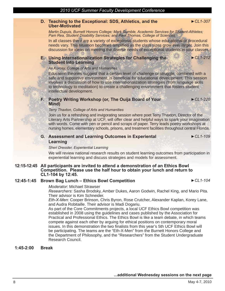# **D. Teaching to the Exceptional: SDS, Athletics, and the Uber-Motivated**

*Martin Dupuis, Burnett Honors College; Mark Gumble, Academic Services for Student-Athletes; Pam Rea, Student Disability Services; and Pam Thomas, College of Sciences*

In all classes there are a variety of exceptional students whose educational or procedural needs vary. This situation becomes amplified as the class sizes grow ever larger. Join this discussion for ideas on meeting the diverse needs of exceptional students in your classes.

# **E. Using Internationalization Strategies for Challenging the Student Into Learning**

#### *Ali Korosy, College of Arts and Humanities*

Education theories suggest that a certain level of challenge or struggle, combined with a safe and supportive environment, is beneficial for educational development. This session involves a discussion of how to use internationalization strategies (from language skills to technology to meditation) to create a challenging environment that fosters student intellectual development.

# **F. Poetry Writing Workshop (or, The Ouija Board of Your Mind)**

**►***CL1-220*

**►***CL1-307*

**►***CL1-212*

#### *Terry Thaxton, College of Arts and Humanities*

Join us for a refreshing and invigorating session where poet Terry Thaxton, Director of the Literary Arts Partnership at UCF, will offer clear and helpful ways to spark your imagination with words. Come with pen or pencil and scraps of paper. Terry leads poetry workshops at nursing homes, elementary schools, prisons, and treatment facilities throughout central Florida.

# **G. Assessment and Learning Outcomes in Experiental Learning**

*►CL1-109*

## *Sheri Dressler, Experiential Learning*

We will review national research results on student learning outcomes from participation in experiential learning and discuss strategies and models for assessment.

#### **12:15-12:45 All participants are invited to attend a demonstration of an Ethics Bowl Competition. Please use the half hour to obtain your lunch and return to CL1-104 by 12:45.**

# **12:45-1:45 Brown Bag Lunch – Ethics Bowl Competition** *►CL1-104*

#### *Moderator*: Michael Strawser

*Researchers*: Sasha Brodsky, Amber Dukes, Aaron Godwin, Rachel King, and Mario Pita. Their advisor is Kim Schneider.

*Eth-X-Men*: Cooper Brinson, Chris Byron, Rose Crutcher, Alexander Kaplan, Korey Lane, and Audra Robitaille. Their advisor is Madi Dogariu.

As part of the Core Commitments projects, a local UCF Ethics Bowl competition was established in 2008 using the guidelines and cases published by the Association for Practical and Professional Ethics. The Ethics Bowl is like a team debate, in which teams compete against each other by arguing for ethical positions on contemporary moral issues. In this demonstration the two finalists from this year's 5th UCF Ethics Bowl will be participating. The teams are the "Eth-X-Men" from the Burnett Honors College and the Department of Philosophy, and the "Researchers" from the Student Undergraduate Research Council.

## **1:45-2:00 Break**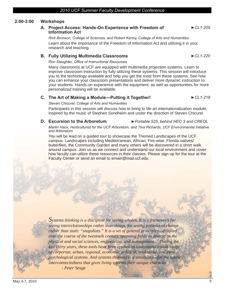# **2:00-3:00 Workshops**

# **A. Project Access: Hands-On Experience with Freedom of Information Act**

*Rick Brunson, College of Sciences, and Robert Kenny, College of Arts and Humanities* Learn about the importance of the Freedom of Information Act and utilizing it in your research and teaching.

# **B.** Fully Utilizing Multimedia Classrooms ▶ CL1-220

# **Ron Slaughter, Office of Instructional Resources**

Many classrooms at UCF are equipped with multimedia projection systems. Learn to improve classroom instruction by fully utilizing these systems. This session will introduce you to the technology available and help you get the most from these systems. See how you can enhance your classroom presentations and deliver more dynamic instruction to your students. Hands-on experience with the equipment, as well as opportunities for more personalized training will be available.

# **C. The Art of Making a Module—Putting it Together! ►***CL1-218*

## *Steven Chicurel, College of Arts and Humanities*

Participants in this session will discuss how to bring to life an internationalization module, inspired by the music of Stephen Sondheim and under the direction of Steven Chicurel.

# **D.** Excursion to the Arboretum ► Portable 525, behind HEC 3 and CREOL

*Martin Haux, Horticulturist for the UCF Arboretum, and Tina Richards, UCF Environmental Initiative and Arboretum* 

You will be lead on a guided tour to showcase the Themed Landscapes of the UCF campus. Landscapes including Mediterranean, African, Fire-wise, Florida natives/ butterflies, the Community Garden and many others will be discovered in a short walk around campus. Join us as we connect and understand our local environment and cover how faculty can utilize these resources in their classes. Please sign up for the tour at the Faculty Center or send an email to emain@mail.ucf.edu.

*Systems thinking is a discipline for seeing wholes. It is a framework for seeing interrelationships rather than things, for seeing patterns of change rather than static "snapshots." It is a set of general principles—distilled over the course of the twentieth century, spanning fields as diverse as the physical and social sciences, engineering, and management.... During the*  last thirty years, these tools have been applied to understand a wide range *of corporate, urban, regional, economic, political, ecological, and even psychological systems. And systems thinking is a sensibility —for the subtle interconnectedness that gives living systems their unique character. - Peter Senge*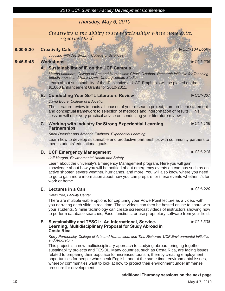# *Thursday, May 6, 2010*

*Creativity is the ability to see relationships where none exist. - George Disch*

# **8:00-8:30 Creativity Café ►***CL1-104 Lobby*

*Juggling with Jay Brophy, College of Sciences*

# **8:45-9:45 Workshops** *►CL1-205*

# **A. Sustainability of IF on the UCF Campus**

*Martha Marinara, College of Arts and Humanities; Chuck Dziuban, Research Initiative for Teaching Effectiveness; and Hank Lewis, Undergraduate Studies*

Learn about sustainability of the IF Initiative at UCF. Emphasis will be placed on the \$1,000 Enhancement Grants for 2010-2011.

# **B. Conducting Your SoTL Literature Review ▶ CL1-307**

# *David Boote, College of Education*

The literature review impacts all phases of your research project, from problem statement and conceptual framework to selection of methods and interpretation of results. This session will offer very practical advice on conducting your literature review.

# **C. Working with Industry for Strong Experiential Learning Partnerships**

# *Sheri Dressler and Amanda Pacheco, Experiential Learning*

Learn how to develop sustainable and productive partnerships with community partners to meet students' educational goals.

# **D. UCF Emergency Management ►***CL1-218*

# *Jeff Morgan, Environmental Health and Safety*

Learn about the university's Emergency Management program. Here you will gain knowledge about how you will be notified about emergency events on campus such as an active shooter, severe weather, hurricanes, and more. You will also know where you need to go to gain more information about how you can prepare for these events whether it's for work or home.

# **E. Lectures in a Can** *►CL1-220*

# *Kevin Yee, Faculty Center*

There are multiple viable options for capturing your PowerPoint lecture as a video, with you narrating each slide in real time. These videos can then be hosted online to share with your students. Similar technology can create screencast videos of instructors showing how to perform database searches, Excel functions, or use proprietary software from your field.

#### **F. Sustainability and TESOL: An International, Service-Learning, Multidisciplinary Proposal for Study Abroad in Costa Rica** *►CL1-308*

*Kerry Purmensky, College of Arts and Humanities, and Tina Richards, UCF Environmental Initiative and Arboretum*

This project is a new multidisciplinary approach to studying abroad, bringing together sustainability projects and TESOL. Many countries, such as Costa Rica, are facing issues related to preparing their populace for increased tourism, thereby creating employment opportunities for people who speak English, and at the same time, environmental issues, whereby communities want to look at how to protect their environment under immense pressure for development.

# **...additional Thursday sessions on the next page**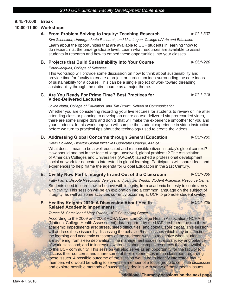# **9:45-10:00 Break**

# **10:00-11:00 Workshops**

# **A. From Problem Solving to Inquiry: Teaching Research ►***CL1-307*

*Kim Schneider, Undergraduate Research, and Lisa Logan, College of Arts and Education* Learn about the opportunities that are available to UCF students in learning "how to do research" at the undergraduate level. Learn what resources are available to assist students in research and how to embed these opportunities into your classes.

# **B. Projects that Build Sustainability into Your Course** *►CL1-220*

#### *Peter Jacques, College of Sciences*

This workshop will provide some discussion on how to think about sustainability and provide time for faculty to create a project or curriculum idea surrounding the core ideas of sustainability for a course. This can be a single project or work toward threading sustainability through the entire course as a major theme.

#### **C. Are You Ready For Prime Time? Best Practices for Video-Delivered Lectures** *►CL1-218*

#### *Joyce Nutta, College of Education, and Tim Brown, School of Communication*

Whether you are considering recording your live lectures for students to review online after attending class or planning to develop an entire course delivered via prerecorded video, there are some simple do's and don'ts that will make the experience smoother for you and your students. In this workshop you will sample the student experience in video instruction before we turn to practical tips about the technology used to create the videos.

# **D. Addressing Global Concerns through General Education** *►CL1-205*

## *Kevin Hovland, Director Global Initiatives Curricular Change, AAC&U*

What does it mean to be a well-educated and responsible citizen in today's global context? How should one act in the face of large, unsolved, global problems? The Association of American Colleges and Universities (AAC&U) launched a professional development social network for educators interested in global learning. Participants will share ideas and experiences to help frame the agenda for Global Education in the 21st Century.

# **E. Civility Now Part I: Integrity In and Out of the Classroom ►***CL1-309*

*Patty Farris, Dispute Resolution Services, and Jennifer Wright, Student Academic Resource Center* Students need to learn how to behave with integrity, from academic honesty to controversy with civility. This session will be an exploration into a common language on the subject of integrity, as well as some activities currently occurring at UCF to promote student civility.

# **F. Healthy Knights 2020: A Discussion About Health Related Academic Impediments**

**►***CL1-308*

#### *Teresa M. Chmelir and Mary Owens, UCF Counseling Center*

According to the 2009 and 2008 ACHA (American College Health Association) NCHA-II (National College Health Assessment) data reported by the UCF freshmen, the top three academic impediments are: stress, sleep difficulties, and cold/flu/sore throat. This session will address these issues by discussing the behavior/health issues which may be affecting the learning and academic outcomes of the students; ways to recognize when students are suffering from sleep deprivation, time management issues, stress/anxiety and balance of work-class load; and to increase awareness about campus resources that are available to the UCF community. This session will also serve as an opportunity for the faculty to discuss their concerns and share some of their experiences in the classroom regarding these issues. A possible outcome of the session would be to identify interested faculty members who would be willing to serve as a member of a focus group to continue discussion and explore possible methods of successfully dealing with some of these health issues.

**...additional Thursday sessions on the next page**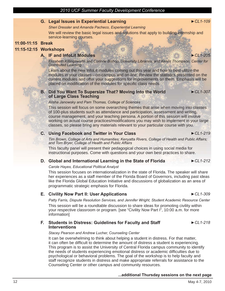# **G. Legal Issues in Experiential Learning ►***CL1-109*

*Sheri Dressler and Amanda Pacheco, Experiential Learning*

We will review the basic legal issues and solutions that apply to building internship and service-learning courses.

# **11:00-11:15 Break**

# **11:15-12:15 Workshops**

# **A. IF and InfoLit Modules ►***CL1-205*

*Elizabeth Killingsworth and Corinne Bishop, University Libraries, and Kelvin Thompson, Center for Distributed Learning*

Learn about the new InfoLit modules coming out this year and how to best utilize the modules in your classes—on-campus and on-line. Review the statistics presented on the current modules and offer your suggestions for improvements on them. Emphasis will be placed on modification of the modules for specific class needs.

# **B. Did You Want To Supersize That? Moving Into the World of Large Class Teaching**

*Alisha Janowsky and Pam Thomas, College of Sciences*

This session will focus on some overarching themes that arise when moving into classes of 100-plus students such as attendance and participation, assessment and writing, course management, and your teaching persona. A portion of this session will involve working on actual course practices/modifications you may wish to implement in your large classes, so please bring any materials relevant to your particular course with you.

# **C. Using Facebook and Twitter in Your Class ►***CL1-219*

*Tim Brown, College of Arts and Humanities; Kenyatta Rivers, College of Health and Public Affairs; and Tom Bryer, College of Health and Public Affairs*

This faculty panel will present their pedagogical choices in using social media for instructional purposes. Come with questions and your own best practices to share.

# **D. Global and International Learning in the State of Florida ►***CL1-212*

## *Carole Hayes, Educational Political Analyst*

This session focuses on internationalization in the state of Florida. The speaker will share her experiences as a staff member of the Florida Board of Governors, including past ideas like the Florida Global Education Initiative and discussions of globalization as an area of programmatic strategic emphasis for Florida.

# **E. Civility Now Part II: User Applications ►***CL1-309*

*Patty Farris, Dispute Resolution Services, and Jennifer Wright, Student Academic Resource Center* This session will be a roundtable discussion to share ideas for promoting civility within your respective classroom or program. [see "Civility Now Part I", 10:00 a.m. for more information]

## **F. Students in Distress: Guidelines for Faculty and Staff Interventions**

#### *Stacey Pearson and Andrew Lucher, Counseling Center*

It can be overwhelming to think about helping a student in distress. For that matter, it can often be difficult to determine the amount of distress a student is experiencing. This program is to assist the University of Central Florida campus community to identify the needs of students experiencing emotional distress or academic difficulties due to psychological or behavioral problems. The goal of the workshop is to help faculty and staff recognize students in distress and make appropriate referrals for assistance to the Counseling Center or other campus and community resources.

# **...additional Thursday sessions on the next page**

**►***CL1-218*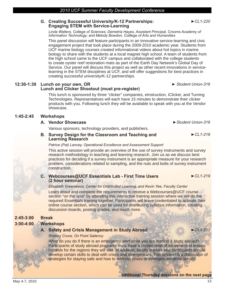# **G. Creating Successful University/K-12 Partnerships: Engaging STEM with Service-Learning**

*Linda Walters, College of Sciences; Demetria Hayes, Assistant Principal, Crooms Academy of Information Technology; and Melody Bowdon, Colllege of Arts and Humanities*

This panel discussion will feature participants in an innovative service-learning and civic engagement project that took place during the 2009-2010 academic year. Students from UCF marine biology courses created informational videos about hot topics in marine biology to share with the students at a local magnet high school. A team of students from the high school came to the UCF campus and collaborated with the college students to create oyster reef restoration mats as part of the Earth Day Network's Global Day of Service. Our panel will discuss this project as well as other recent innovations in servicelearning in the STEM disciplines at UCF, and will offer suggestions for best practices in creating successful university/K-12 partnerships.

# **12:30-1:30 Lunch on your own, OR Lunch and Clicker Shootout (must pre-register)**

This lunch is sponsored by three "clicker" companies, eInstruction, iClicker, and Turning Technologies. Representatives will each have 15 minutes to demonstrate their clicker products with you. Following lunch they will be available to speak with you at the Vendor showcase.

# **1:45-2:45 Workshops**

# **A. Vendor Showcase ►***Student Union-316*

Various sponsors, technology providers, and publishers.

#### **B. Survey Design for the Classroom and Teaching and Learning Research**

#### *Patrice (Pat) Lancey, Operational Excellence and Assessment Support*

This active session will provide an overview of the use of survey instruments and survey research methodology in teaching and learning research. Join us as we discuss best practices for deciding if a survey instrument is an appropriate measure for your research problem, considerations related to sampling, and the nuts and bolts of survey instrument construction.

#### **C. Webcourses@UCF Essentials Lab - First Time Users (2 hour seminar)**

*Elisabeth Greenwood, Center for Distributed Learning, and Kevin Yee, Faculty Center*

Learn about and complete the requirements to receive a Webcourses@UCF course section "on the spot" by attending this interactive training session where we will do the required Essentials training together. Participants will leave credentialed to activate their online course section, which can be used for distributing syllabus information, creating discussion boards, posting grades, and much more.

# **2:45-3:00 Break**

# **3:00-4:00 Workshops**

## **A. Safety and Crisis Management in Study Abroad ►***CL1-212*

*Rodney Cruce, On Point Saliency*

What do you do if there is an emergency alert while you are leading a study abroad? Participants of study abroad programs must have a certain level of awareness of known hazards for the regions they will visit. In addition, faculty leaders and participants should develop certain skills to deal with crises and emergencies. This session is a discussion of strategies for staying safe and how to address crises or emergencies while abroad.

**...additional Thursday sessions on the next page**

**►***CL1-218*

**►***CL1-219*

*► Student Union-316*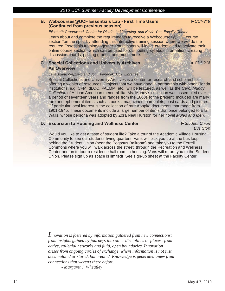# **B. Webcourses@UCF Essentials Lab - First Time Users (Continued from previous session)**

*►CL1-219*

#### *Elisabeth Greenwood, Center for Distributed Learning, and Kevin Yee, Faculty Center*

Learn about and complete the requirements to receive a Webcourses@UCF course section "on the spot" by attending this interactive training session where we will do the required Essentials training together. Participants will leave credentialed to activate their online course section, which can be used for distributing syllabus information, creating discussion boards, posting grades, and much more.

# **C. Special Collections and University Archives: An Overview**

**►***CL1-218*

#### *Laila Miletic-Vejzovic and John Venecek, UCF Libraries*

Special Collections and University Archives is a center for research and scholarship, offering a wealth of resources. Projects that we have done in partnership with other Florida institutions, e.g. CFM, dLOC, PALMM, etc., will be featured, as well as the *Carol Mundy Collection* of African American memorabilia. Ms. Mundy's collection was assembled over a period of seventeen years and ranges from the 1860s to the present. Included are many rare and ephemeral items such as books, magazines, pamphlets, post cards and pictures. Of particular local interest is the collection of rare Apopka documents that range from 1901-1945. These documents include a large number of items that once belonged to Ella Walls, whose persona was adopted by Zora Neal Hurston for her novel *Mules and Men*.

# **D. Excursion to Housing and Wellness Center ►***Student Union*

*Bus Stop*

Would you like to get a taste of student life? Take a tour of the Academic Village Housing Community to see our students' living quarters! Vans will pick you up at the bus loop behind the Student Union (near the Pegasus Ballroom) and take you to the Ferrell Commons where you will walk across the street, through the Recreation and Wellness Center and on to tour a residence hall room in housing. Vans will return you to the Student Union. Please sign up as space is limited! See sign-up sheet at the Faculty Center.

*Innovation is fostered by information gathered from new connections; from insights gained by journeys into other disciplines or places; from active, collegial networks and fl uid, open boundaries. Innovation arises from ongoing circles of exchange, where information is not just accumulated or stored, but created. Knowledge is generated anew from connections that weren't there before.* 

 *- Margaret J. Wheatley*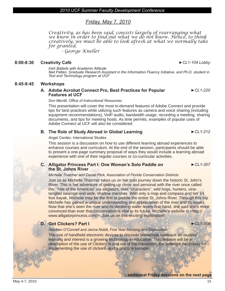# *Friday, May 7, 2010*

*Creativity, as has been said, consists largely of rearranging what we know in order to find out what we do not know. Hence, to think creatively, we must be able to look afresh at what we normally take for granted.*

 *- George Kneller*

# **8:00-8:30 Creativity Café ►***CL1-104 Lobby*

*Irish Ballads with Academic Attitude Neil Patten, Graduate Research Assistant in the Information Fluency Initiative, and Ph.D. student in Text and Technology program at UCF*

# **8:45-9:45 Workshops**

#### **A. Adobe Acrobat Connect Pro, Best Practices for Popular Features at UCF** *►CL1-220*

# **Don Merritt, Office of Instructional Resources**

This presentation will cover the most in-demand features of Adobe Connect and provide tips for best practices while utilizing such features as camera and voice sharing (including equipment recommendations), VoIP audio, bandwidth usage, recording a meeting, sharing documents, and tips for meeting hosts. As time permits, examples of popular uses of Adobe Connect at UCF will also be considered.

# **B. The Role of Study Abroad in Global Learning** *►CL1-212*

# *Angel Cardec, International Studies*

This session is a discussion on how to use different learning abroad experiences to enhance courses and curriculum. At the end of the session, participants should be able to present a one-page summary proposal of ways they would include a learning abroad experience with one of their regular courses or co-curricular activities.

# **C. Alligator Princess Part I: One Woman's Solo Paddle on the St. Johns River**

# *Michelle Thatcher and Daniel Flick, Association of Florida Conservation Districts*

Join us as Michelle Thatcher takes us on her solo journey down the historic St. John's River. This is her adventure of getting up close and personal with the river once called the "Nile of the Americas" via alligators, river "characters", wild hogs, hunters, vinetangled swamps and wide, shallow marshes. With only a map and compass and her 14 foot kayak, Michelle may be the first to paddle the entire St. Johns River. Through this trip Michelle has gained a unique understanding and appreciation of the river and its issues. Now that she's seen the river and its declining water levels first-hand, she said she's more convinced than ever that conservation is vital to its future. Michelle's website is <http:// www.alligatorprincess.com/>. Join us on this exciting exploration!

# **D. Got Clickers? Part I ►***CL1-309*

*Stephen O'Connell and Jenna Nobili, First Year Advising and Exploration*

The use of handheld electronic devices to discover immediate feedback on student learning and interest is a growing technology in education. This session will be a description of the use of Clickers in and out of the classroom, the software necessary for implementing the use of clickers, and a practice session.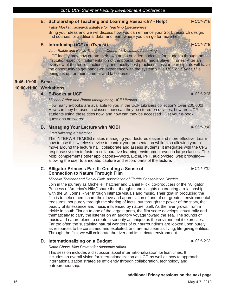# **E. Scholarship of Teaching and Learning Research? - Help! ►***CL1-218*

*Patsy Moskal, Research Initiative for Teaching Effectiveness*

Bring your ideas and we will discuss how you can enhance your SoTL research design, find sources for additional data, and learn where you can go for more help.

# **F. Introducing** *UCF on iTunesU ►CL1-219*

*John Raible and Kelvin Thompson, Center for Distributed Learning*

UCF faculty may now create their own audio or video podcasts for students through an institution-specific implementation of the popular digital media player, iTunes. After an overview of the tool's functionality and faculty best practices, session participants will have the opportunity to get hands-on experience with the system while *UCF on iTunes U* is being set up for their summer and fall courses.

# **9:45-10:00 Break**

# **10:00-11:00 Workshops**

# **A. E-Books at UCF** *►CL1-218*

# *Michael Arthur and Renee Montgomery, UCF Libraries*

How many e-books are available to you in the UCF Libraries collection? Over 200,000! How can they be used in classes, how can they be stored on devices, how are UCF students using these titles now, and how can they be accessed? Get your e-book questions answered.

# **B. Managing Your Lecture with MOBI** *►CL1-308*

# *Greg Kilkenny, eInstruction*

The INTERWRITEMOBI makes managing your lectures easier and more effective. Learn how to use this wireless device to control your presentation while also allowing you to move around the lecture hall, collaborate and assess students. It integrates with the CPS response system to foster a collaborative learning environment even in large classes. The Mobi complements other applications—Word, Excel, PPT, audio/video, web browsing allowing the user to annotate, capture and record parts of the lecture.

# **C. Alligator Princess Part II: Creating a Sense of Connection to Nature Through Film**

# *Michelle Thatcher and Daniel Flick, Association of Florida Conservation Districts*

Join in the journey as Michelle Thatcher and Daniel Flick, co-producers of the "Alligator Princess of America's Nile," share their thoughts and insights on creating a relationship with the St. Johns River through intimate visuals and music. Their goal in producing the film is to help others share their love and appreciation of one of our greatest environmental treasures, not purely through the sharing of facts, but through the power of the story, the beauty of its essence and music influenced by nature itself. As the river grows, from a trickle in south Florida to one of the largest ports, the film score develops structurally and thematically to carry the listener on an auditory voyage toward the sea. The sounds of music and nature blend to create a sonority as unique as the environment it expresses. Far too often the sustaining natural wonders of our surroundings are looked upon purely as resources to be consumed and exploited, and are not seen as living, life-giving entities. Through the film, we will celebrate the river and its intricate environment.

# **D.** Internationalizing on a Budget ▶ CL1-212

*Diane Chase, Vice Provost for Academic Affairs*

This session includes a discussion about internationalization for lean times. It includes an overall vision for internationalization at UCF, as well as how to approach internationalization strategies efficiently through collaboration, technology and entrepreneurship.

# **...additional Friday sessions on the next page**

## 16 May 4-7, 2010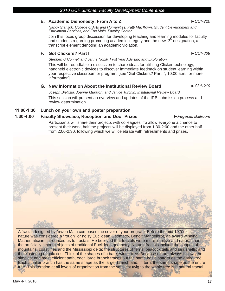# **E. Academic Dishonesty: From A to Z ►***CL1-220*

*Nancy Stanlick, College of Arts and Humanities; Patti MacKown, Student Development and Enrollment Services; and Eric Main, Faculty Center*

Join this focus group discussion for developing teaching and learning modules for faculty and students regarding promoting academic integrity and the new "Z" designation, a transcript element denoting an academic violation.

# **F. Got Clickers? Part II** *►CL1-309*

*Stephen O'Connell and Jenna Nobili, First Year Advising and Exploration*

This will be roundtable a discussion to share ideas for utilizing Clicker technology, handheld electronic devices to discover immediate feedback on student learning within your respective classroom or program. [see "Got Clickers? Part I", 10:00 a.m. for more information]

# **G. New Information About the Institutional Review Board** *►CL1-219*

*Joseph Bielitzki, Joanne Muratori, and Janice Turchin, Institutional Review Board* This session will present an overview and updates of the IRB submission process and review determination.

# **11:00-1:30 Lunch on your own and poster preparation**

# **1:30-4:00 Faculty Showcase, Reception and Door Prizes** *►Pegasus Ballroom*

Participants will share their projects with colleagues. To allow everyone a chance to present their work, half the projects will be displayed from 1:30-2:00 and the other half

A fractal designed by Arwen Main composes the cover of your program. Before the mid 1970s, nature was considered a "rough" or noisy Euclidean Geometry. Benoit Mandelbrot, an award winning Mathematician, introduced us to fractals. He believed that fractals were more intuitive and natural than the artificially smooth objects of traditional Euclidean geometry. Natural fractals include the shapes of mountains, coastlines and the Mississippi delta; the structures of ferns, peacock tails and sea shells; and the clustering of galaxies. Think of the shapes of a bare, winter tree. Because nature always follows the simplest and most efficient path, each large branch traces out the same basic pattern as the entire tree. Each smaller branch has the same shape as the larger branch and, in turn, the same shape as the entire tree. This iteration at all levels of organization from the smallest twig to the whole tree is a natural fractal.



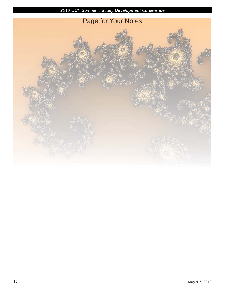

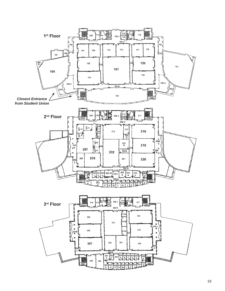